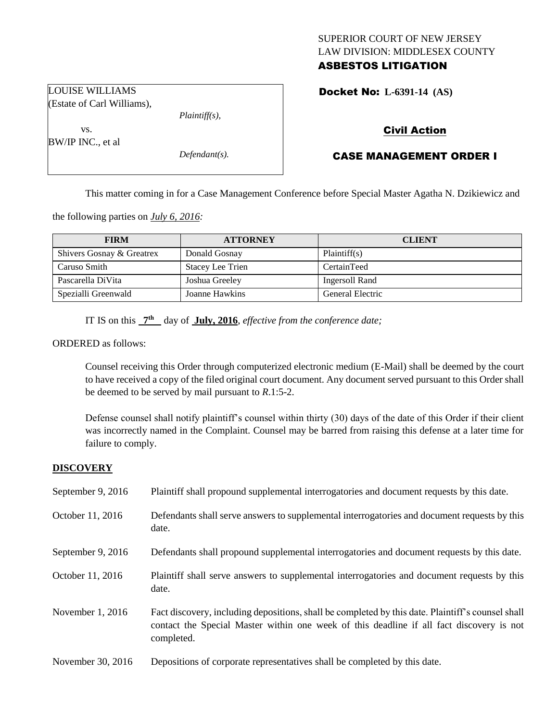# SUPERIOR COURT OF NEW JERSEY LAW DIVISION: MIDDLESEX COUNTY

# ASBESTOS LITIGATION

Docket No: **L-6391-14 (AS)** 

LOUISE WILLIAMS (Estate of Carl Williams),

vs. BW/IP INC., et al *Plaintiff(s),*

*Defendant(s).*

Civil Action

## CASE MANAGEMENT ORDER I

This matter coming in for a Case Management Conference before Special Master Agatha N. Dzikiewicz and

the following parties on *July 6, 2016:*

| <b>FIRM</b>               | <b>ATTORNEY</b>         | <b>CLIENT</b>    |
|---------------------------|-------------------------|------------------|
| Shivers Gosnay & Greatrex | Donald Gosnay           | Plaintiff(s)     |
| Caruso Smith              | <b>Stacey Lee Trien</b> | CertainTeed      |
| Pascarella DiVita         | Joshua Greeley          | Ingersoll Rand   |
| Spezialli Greenwald       | Joanne Hawkins          | General Electric |

IT IS on this  $7<sup>th</sup>$  day of **July, 2016**, *effective from the conference date*;

ORDERED as follows:

Counsel receiving this Order through computerized electronic medium (E-Mail) shall be deemed by the court to have received a copy of the filed original court document. Any document served pursuant to this Order shall be deemed to be served by mail pursuant to *R*.1:5-2.

Defense counsel shall notify plaintiff's counsel within thirty (30) days of the date of this Order if their client was incorrectly named in the Complaint. Counsel may be barred from raising this defense at a later time for failure to comply.

### **DISCOVERY**

| September 9, $2016$ | Plaintiff shall propound supplemental interrogatories and document requests by this date.                                                                                                                   |
|---------------------|-------------------------------------------------------------------------------------------------------------------------------------------------------------------------------------------------------------|
| October 11, 2016    | Defendants shall serve answers to supplemental interrogatories and document requests by this<br>date.                                                                                                       |
| September 9, 2016   | Defendants shall propound supplemental interrogatories and document requests by this date.                                                                                                                  |
| October 11, 2016    | Plaintiff shall serve answers to supplemental interrogatories and document requests by this<br>date.                                                                                                        |
| November $1, 2016$  | Fact discovery, including depositions, shall be completed by this date. Plaintiff's counsel shall<br>contact the Special Master within one week of this deadline if all fact discovery is not<br>completed. |
| November 30, 2016   | Depositions of corporate representatives shall be completed by this date.                                                                                                                                   |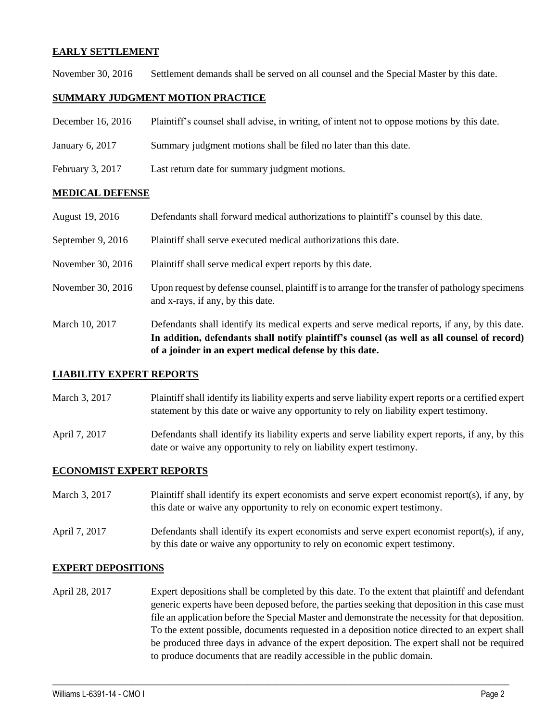## **EARLY SETTLEMENT**

November 30, 2016 Settlement demands shall be served on all counsel and the Special Master by this date.

## **SUMMARY JUDGMENT MOTION PRACTICE**

- December 16, 2016 Plaintiff's counsel shall advise, in writing, of intent not to oppose motions by this date.
- January 6, 2017 Summary judgment motions shall be filed no later than this date.
- February 3, 2017 Last return date for summary judgment motions.

## **MEDICAL DEFENSE**

- August 19, 2016 Defendants shall forward medical authorizations to plaintiff's counsel by this date.
- September 9, 2016 Plaintiff shall serve executed medical authorizations this date.
- November 30, 2016 Plaintiff shall serve medical expert reports by this date.
- November 30, 2016 Upon request by defense counsel, plaintiff is to arrange for the transfer of pathology specimens and x-rays, if any, by this date.
- March 10, 2017 Defendants shall identify its medical experts and serve medical reports, if any, by this date. **In addition, defendants shall notify plaintiff's counsel (as well as all counsel of record) of a joinder in an expert medical defense by this date.**

### **LIABILITY EXPERT REPORTS**

- March 3, 2017 Plaintiff shall identify its liability experts and serve liability expert reports or a certified expert statement by this date or waive any opportunity to rely on liability expert testimony.
- April 7, 2017 Defendants shall identify its liability experts and serve liability expert reports, if any, by this date or waive any opportunity to rely on liability expert testimony.

### **ECONOMIST EXPERT REPORTS**

- March 3, 2017 Plaintiff shall identify its expert economists and serve expert economist report(s), if any, by this date or waive any opportunity to rely on economic expert testimony.
- April 7, 2017 Defendants shall identify its expert economists and serve expert economist report(s), if any, by this date or waive any opportunity to rely on economic expert testimony.

### **EXPERT DEPOSITIONS**

April 28, 2017 Expert depositions shall be completed by this date. To the extent that plaintiff and defendant generic experts have been deposed before, the parties seeking that deposition in this case must file an application before the Special Master and demonstrate the necessity for that deposition. To the extent possible, documents requested in a deposition notice directed to an expert shall be produced three days in advance of the expert deposition. The expert shall not be required to produce documents that are readily accessible in the public domain.

 $\_$  , and the set of the set of the set of the set of the set of the set of the set of the set of the set of the set of the set of the set of the set of the set of the set of the set of the set of the set of the set of th